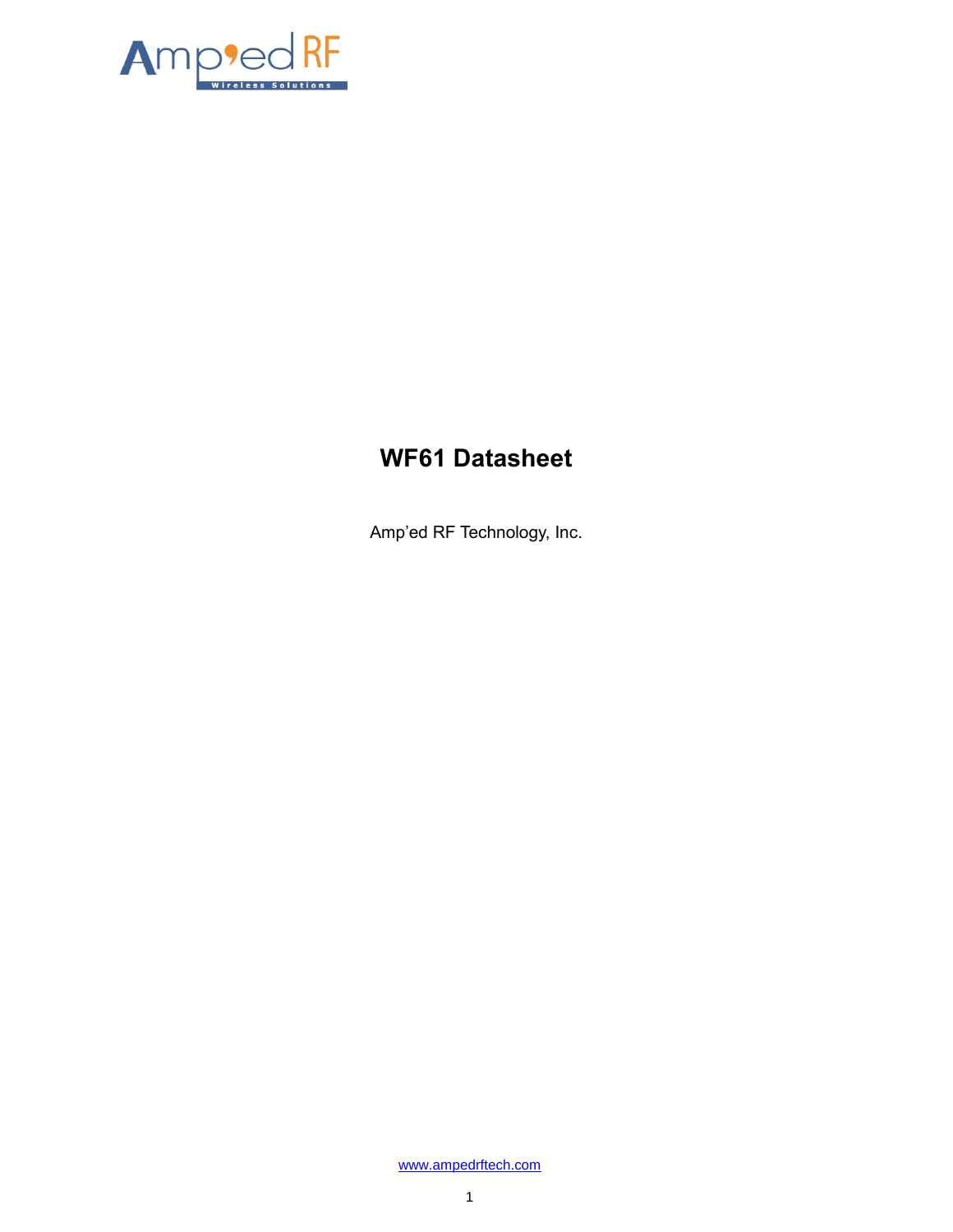

# **WF61 Datasheet**

Amp'ed RF Technology, Inc.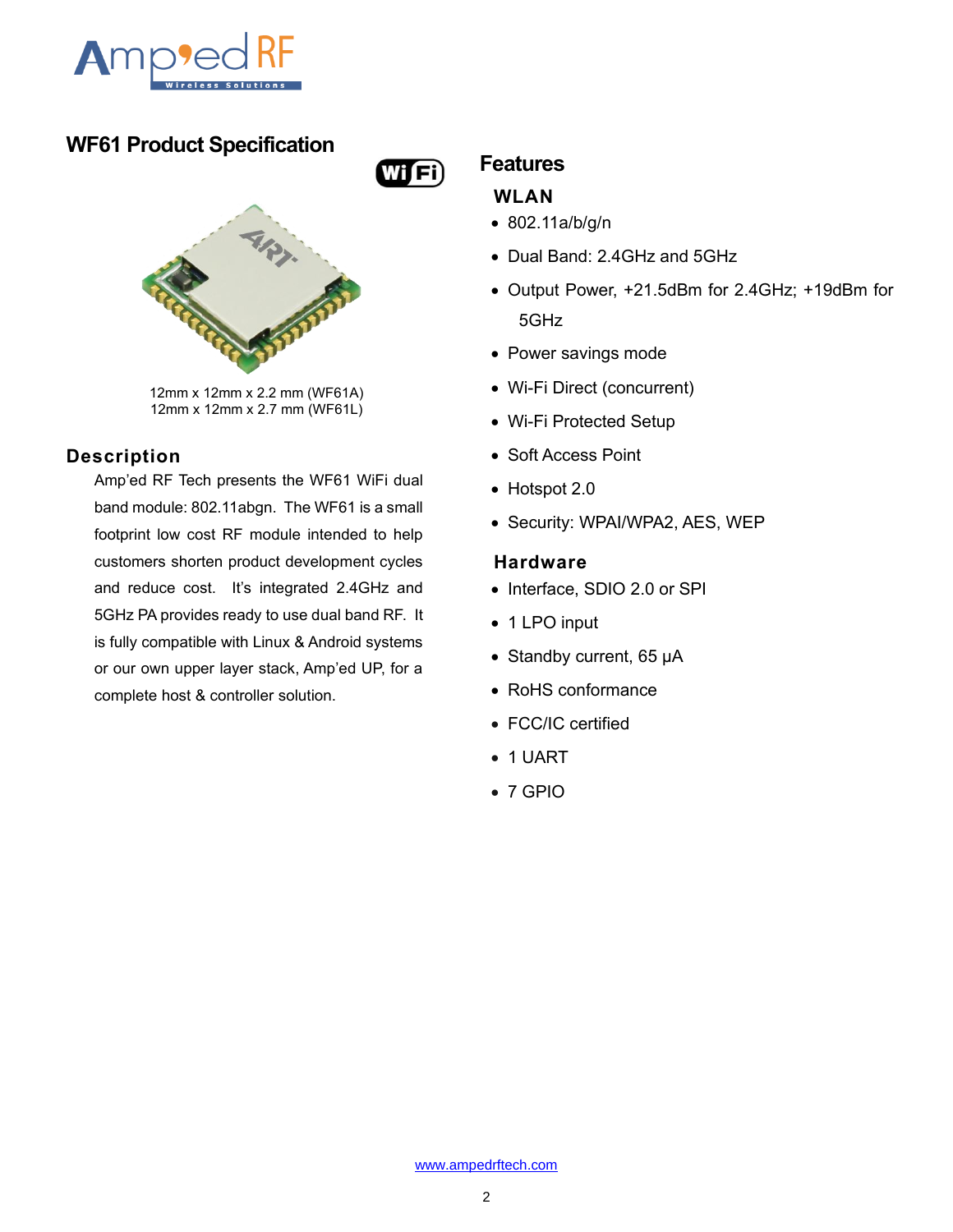

## **WF61 Product Specification**





12mm x 12mm x 2.2 mm (WF61A) 12mm x 12mm x 2.7 mm (WF61L)

### **Description**

Amp'ed RF Tech presents the WF61 WiFi dual band module: 802.11abgn. The WF61 is a small footprint low cost RF module intended to help customers shorten product development cycles and reduce cost. It's integrated 2.4GHz and 5GHz PA provides ready to use dual band RF. It is fully compatible with Linux & Android systems or our own upper layer stack, Amp'ed UP, for a complete host & controller solution.

## **Features**

### **WLAN**

- 802.11a/b/g/n
- Dual Band: 2.4GHz and 5GHz
- Output Power, +21.5dBm for 2.4GHz; +19dBm for 5GHz
- Power savings mode
- Wi-Fi Direct (concurrent)
- Wi-Fi Protected Setup
- Soft Access Point
- Hotspot 2.0
- Security: WPAI/WPA2, AES, WEP

### **Hardware**

- Interface, SDIO 2.0 or SPI
- 1 LPO input
- Standby current, 65 μA
- RoHS conformance
- FCC/IC certified
- 1 UART
- 7 GPIO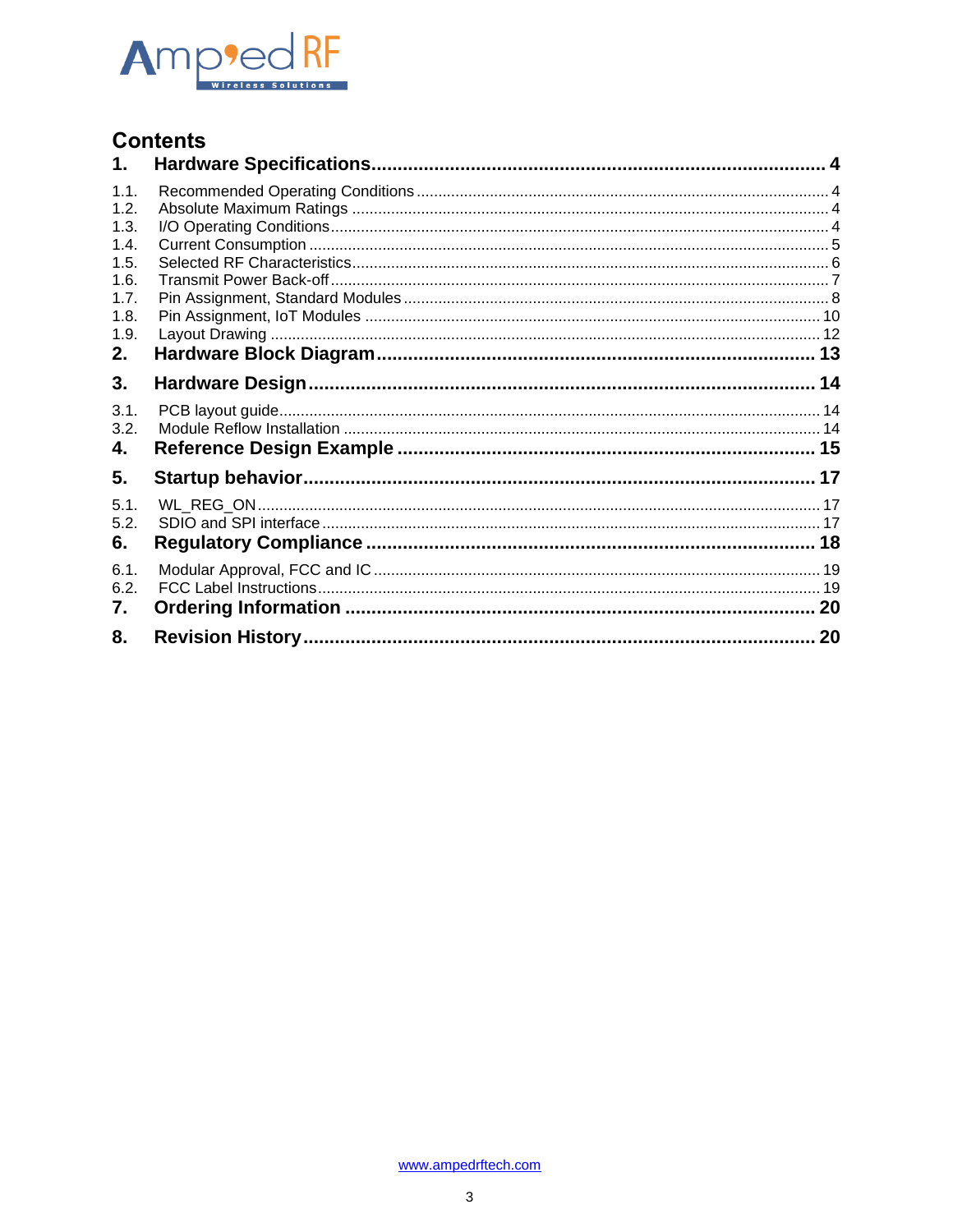

## **Contents**

| 1.                                                                         |    |
|----------------------------------------------------------------------------|----|
| 1.1.<br>1.2.<br>1.3.<br>1.4.<br>1.5.<br>1.6.<br>1.7.<br>1.8.<br>1.9.<br>2. |    |
| 3.                                                                         |    |
| 3.1.<br>3.2.<br>4.                                                         |    |
| 5.                                                                         |    |
| 5.1.<br>5.2.<br>6.                                                         |    |
| 6.1.<br>6.2.<br>7.                                                         |    |
| 8.                                                                         | 20 |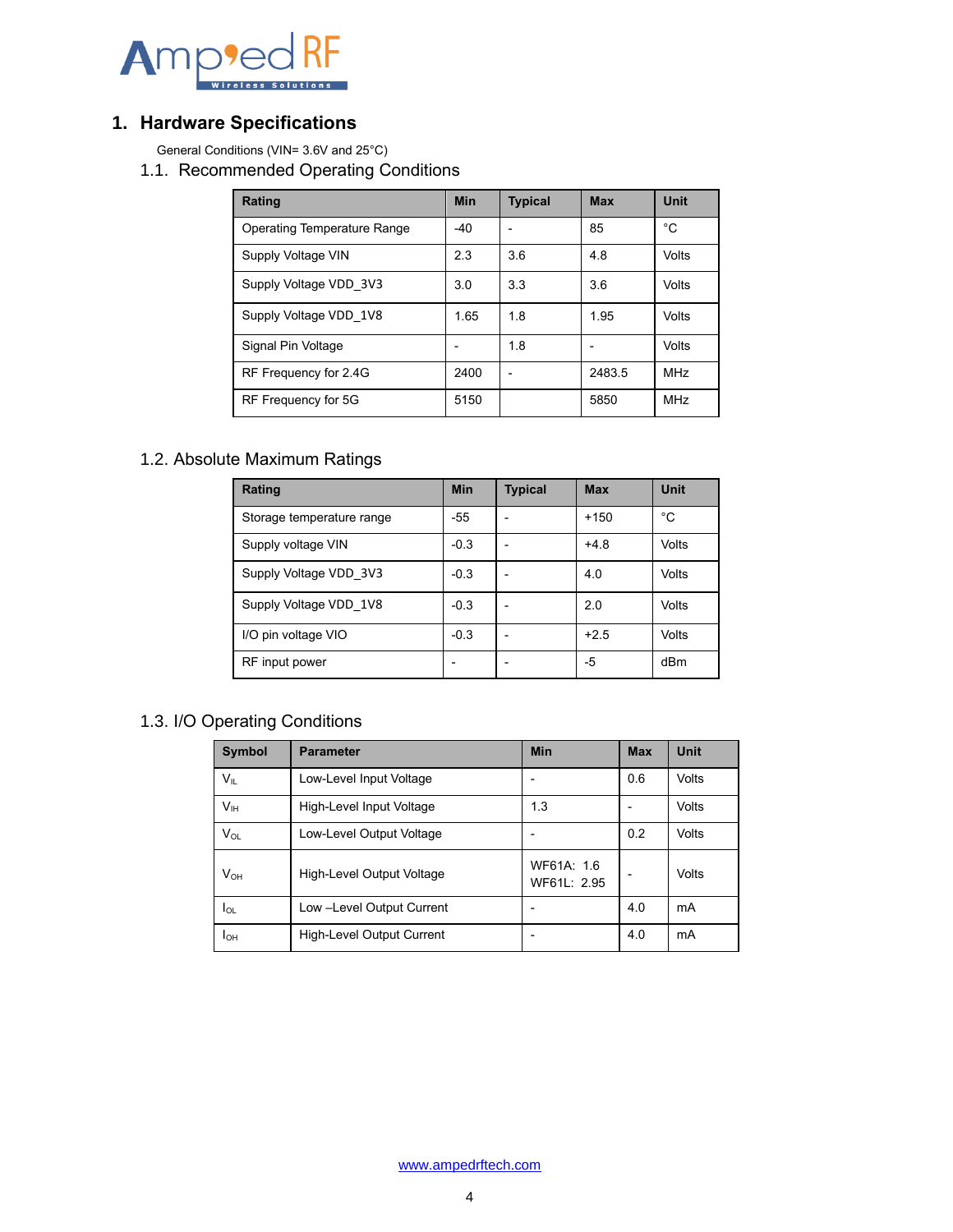

## <span id="page-3-0"></span>**1. Hardware Specifications**

<span id="page-3-1"></span>General Conditions (VIN= 3.6V and 25°C)

1.1. Recommended Operating Conditions

| Rating                             | <b>Min</b> | <b>Typical</b> | <b>Max</b> | Unit       |
|------------------------------------|------------|----------------|------------|------------|
| <b>Operating Temperature Range</b> | $-40$      |                | 85         | °C         |
| Supply Voltage VIN                 | 2.3        | 3.6            | 4.8        | Volts      |
| Supply Voltage VDD 3V3             | 3.0        | 3.3            | 3.6        | Volts      |
| Supply Voltage VDD 1V8             | 1.65       | 1.8            | 1.95       | Volts      |
| Signal Pin Voltage                 |            | 1.8            |            | Volts      |
| RF Frequency for 2.4G              | 2400       |                | 2483.5     | <b>MHz</b> |
| RF Frequency for 5G                | 5150       |                | 5850       | <b>MHz</b> |

## <span id="page-3-2"></span>1.2. Absolute Maximum Ratings

| Rating                    | <b>Min</b> | <b>Typical</b> | <b>Max</b> | <b>Unit</b> |
|---------------------------|------------|----------------|------------|-------------|
| Storage temperature range | $-55$      |                | $+150$     | °C          |
| Supply voltage VIN        | $-0.3$     |                | $+4.8$     | Volts       |
| Supply Voltage VDD 3V3    | $-0.3$     |                | 4.0        | Volts       |
| Supply Voltage VDD 1V8    | $-0.3$     |                | 2.0        | Volts       |
| I/O pin voltage VIO       | $-0.3$     |                | $+2.5$     | Volts       |
| RF input power            |            |                | -5         | dBm         |

## <span id="page-3-3"></span>1.3. I/O Operating Conditions

| <b>Symbol</b>   | <b>Parameter</b>          | <b>Min</b>                | <b>Max</b> | <b>Unit</b> |
|-----------------|---------------------------|---------------------------|------------|-------------|
| $V_{IL}$        | Low-Level Input Voltage   |                           | 0.6        | Volts       |
| V <sub>IH</sub> | High-Level Input Voltage  | 1.3                       |            | Volts       |
| $V_{OL}$        | Low-Level Output Voltage  |                           | 0.2        | Volts       |
| $V_{OH}$        | High-Level Output Voltage | WF61A: 1.6<br>WF61L: 2.95 |            | Volts       |
| lol             | Low -Level Output Current |                           | 4.0        | mA          |
| Іон             | High-Level Output Current |                           | 4.0        | mA          |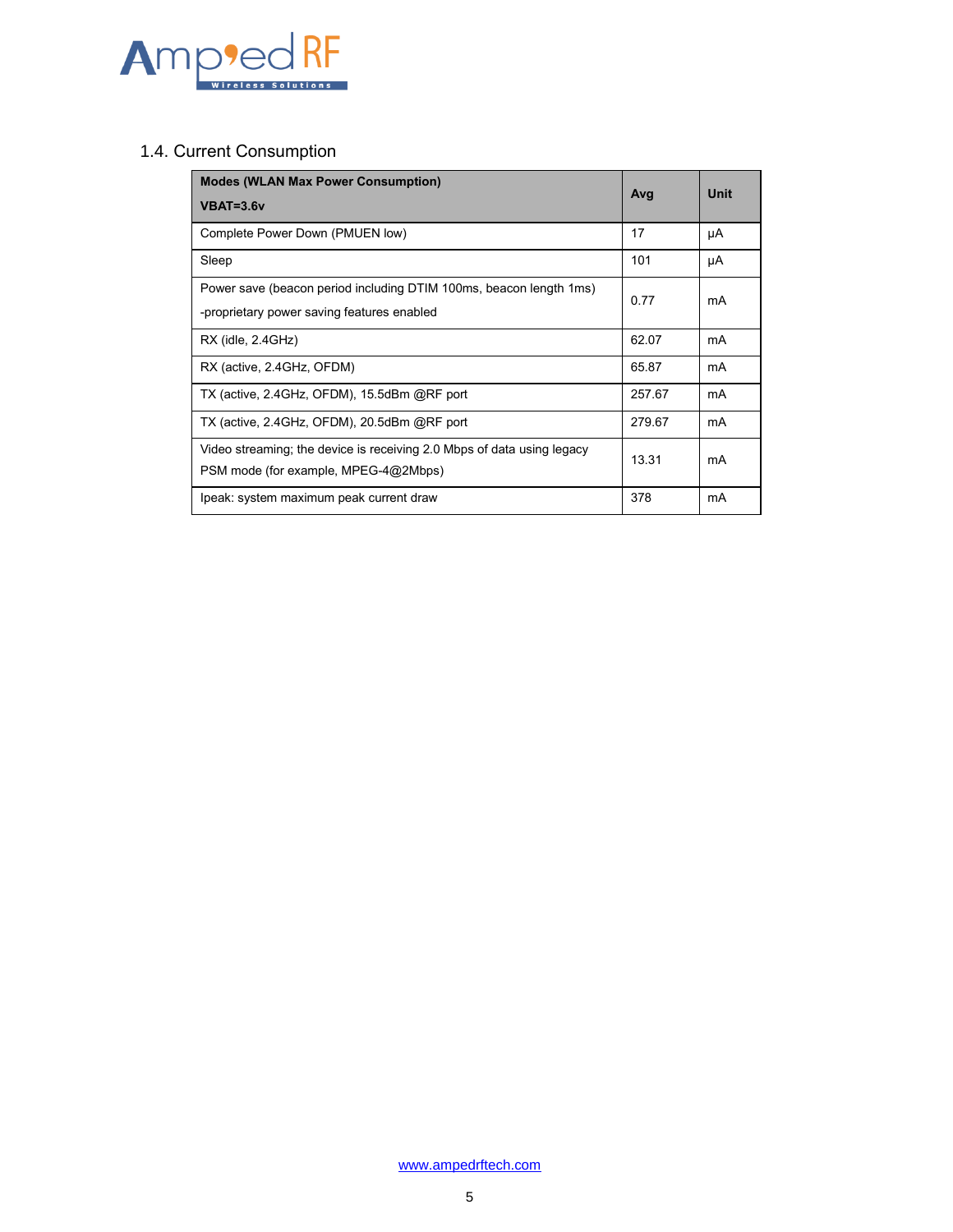

## <span id="page-4-0"></span>1.4. Current Consumption

| <b>Modes (WLAN Max Power Consumption)</b>                                                                        |        | Unit |
|------------------------------------------------------------------------------------------------------------------|--------|------|
| $VBAT=3.6v$                                                                                                      | Avg    |      |
| Complete Power Down (PMUEN low)                                                                                  | 17     | μA   |
| Sleep                                                                                                            | 101    | μA   |
| Power save (beacon period including DTIM 100ms, beacon length 1ms)<br>-proprietary power saving features enabled | 0.77   | mA   |
| $RX$ (idle, $2.4GHz$ )                                                                                           | 62.07  | mA   |
| RX (active, 2.4GHz, OFDM)                                                                                        | 65.87  | mA   |
| TX (active, 2.4GHz, OFDM), 15.5dBm @RF port                                                                      | 257.67 | mA   |
| TX (active, 2.4GHz, OFDM), 20.5dBm @RF port                                                                      | 279.67 | mA   |
| Video streaming; the device is receiving 2.0 Mbps of data using legacy<br>PSM mode (for example, MPEG-4@2Mbps)   | 13.31  | mA   |
| Ipeak: system maximum peak current draw                                                                          | 378    | mA   |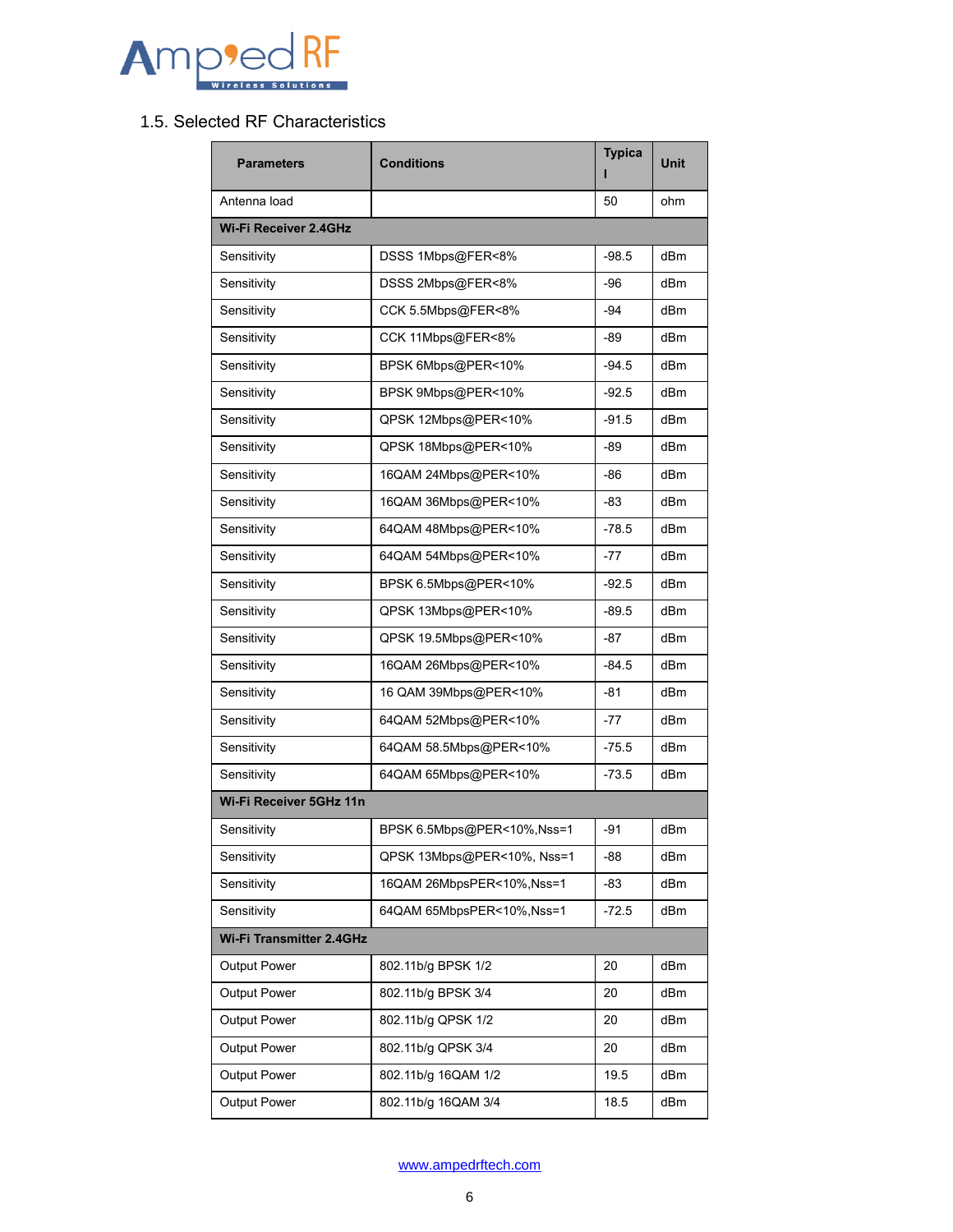

## <span id="page-5-0"></span>1.5. Selected RF Characteristics

| <b>Parameters</b>               | <b>Conditions</b>          | <b>Typica</b> | <b>Unit</b>     |
|---------------------------------|----------------------------|---------------|-----------------|
| Antenna load                    |                            | 50            | ohm             |
| <b>Wi-Fi Receiver 2.4GHz</b>    |                            |               |                 |
| Sensitivity                     | DSSS 1Mbps@FER<8%          | $-98.5$       | dBm             |
| Sensitivity                     | DSSS 2Mbps@FER<8%          | -96           | dBm             |
| Sensitivity                     | CCK 5.5Mbps@FER<8%         | -94           | dBm             |
| Sensitivity                     | CCK 11Mbps@FER<8%          | -89           | dBm             |
| Sensitivity                     | BPSK 6Mbps@PER<10%         | $-94.5$       | dBm             |
| Sensitivity                     | BPSK 9Mbps@PER<10%         | $-92.5$       | dBm             |
| Sensitivity                     | QPSK 12Mbps@PER<10%        | $-91.5$       | dBm             |
| Sensitivity                     | QPSK 18Mbps@PER<10%        | -89           | dB <sub>m</sub> |
| Sensitivity                     | 16QAM 24Mbps@PER<10%       | -86           | dBm             |
| Sensitivity                     | 16QAM 36Mbps@PER<10%       | -83           | dBm             |
| Sensitivity                     | 64QAM 48Mbps@PER<10%       | $-78.5$       | dBm             |
| Sensitivity                     | 64QAM 54Mbps@PER<10%       | $-77$         | dBm             |
| Sensitivity                     | BPSK 6.5Mbps@PER<10%       | $-92.5$       | dBm             |
| Sensitivity                     | QPSK 13Mbps@PER<10%        | $-89.5$       | dBm             |
| Sensitivity                     | QPSK 19.5Mbps@PER<10%      | -87           | dBm             |
| Sensitivity                     | 16QAM 26Mbps@PER<10%       | $-84.5$       | dBm             |
| Sensitivity                     | 16 QAM 39Mbps@PER<10%      | -81           | dBm             |
| Sensitivity                     | 64QAM 52Mbps@PER<10%       | $-77$         | dBm             |
| Sensitivity                     | 64QAM 58.5Mbps@PER<10%     | $-75.5$       | dBm             |
| Sensitivity                     | 64QAM 65Mbps@PER<10%       | $-73.5$       | dBm             |
| Wi-Fi Receiver 5GHz 11n         |                            |               |                 |
| Sensitivity                     | BPSK 6.5Mbps@PER<10%,Nss=1 | -91           | dBm             |
| Sensitivity                     | QPSK 13Mbps@PER<10%, Nss=1 | -88           | dBm             |
| Sensitivity                     | 16QAM 26MbpsPER<10%, Nss=1 | -83           | dBm             |
| Sensitivity                     | 64QAM 65MbpsPER<10%, Nss=1 | $-72.5$       | dBm             |
| <b>Wi-Fi Transmitter 2.4GHz</b> |                            |               |                 |
| Output Power                    | 802.11b/g BPSK 1/2         | 20            | dBm             |
| <b>Output Power</b>             | 802.11b/g BPSK 3/4         | 20            | dBm             |
| Output Power                    | 802.11b/g QPSK 1/2         | 20            | dBm             |
| Output Power                    | 802.11b/g QPSK 3/4         | 20            | dBm             |
| <b>Output Power</b>             | 802.11b/g 16QAM 1/2        | 19.5          | dBm             |
| <b>Output Power</b>             | 802.11b/g 16QAM 3/4        | 18.5          | dBm             |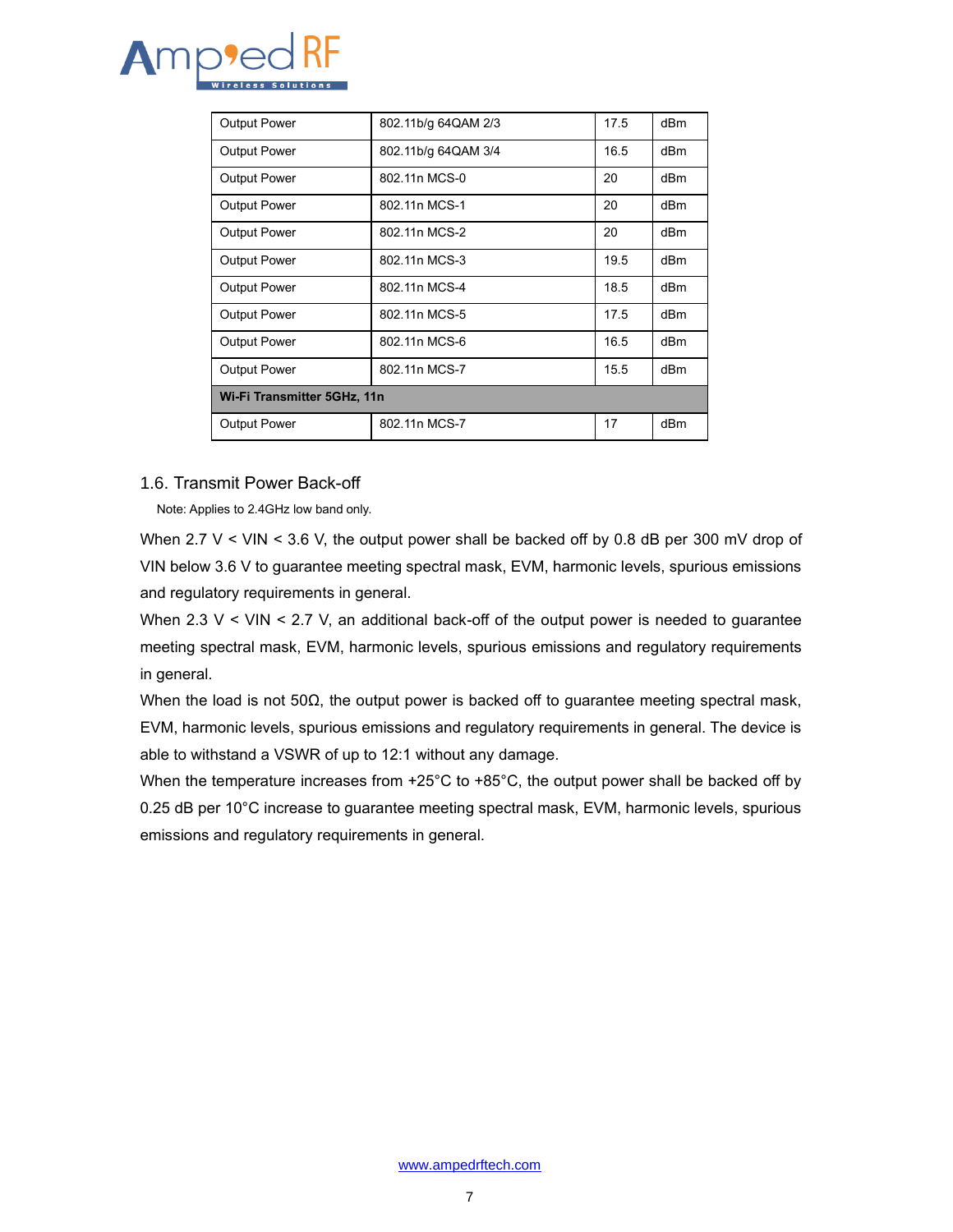

| <b>Output Power</b>         | 802.11b/g 64QAM 2/3 | 17.5 | dBm             |  |  |  |
|-----------------------------|---------------------|------|-----------------|--|--|--|
| <b>Output Power</b>         | 802.11b/g 64QAM 3/4 | 16.5 | dBm             |  |  |  |
| <b>Output Power</b>         | 802.11n MCS-0       | 20   | dBm             |  |  |  |
| <b>Output Power</b>         | 802.11n MCS-1       | 20   | dBm             |  |  |  |
| <b>Output Power</b>         | 802.11n MCS-2       | 20   | dBm             |  |  |  |
| <b>Output Power</b>         | 802.11n MCS-3       | 19.5 | dBm             |  |  |  |
| <b>Output Power</b>         | 802.11n MCS-4       | 18.5 | dBm             |  |  |  |
| <b>Output Power</b>         | 802.11n MCS-5       | 17.5 | dB <sub>m</sub> |  |  |  |
| <b>Output Power</b>         | 802.11n MCS-6       | 16.5 | dBm             |  |  |  |
| <b>Output Power</b>         | 802.11n MCS-7       | 15.5 | dBm             |  |  |  |
| Wi-Fi Transmitter 5GHz, 11n |                     |      |                 |  |  |  |
| <b>Output Power</b>         | 802.11n MCS-7       | 17   | dBm             |  |  |  |

#### <span id="page-6-0"></span>1.6. Transmit Power Back-off

Note: Applies to 2.4GHz low band only.

When 2.7 V < VIN < 3.6 V, the output power shall be backed off by 0.8 dB per 300 mV drop of VIN below 3.6 V to guarantee meeting spectral mask, EVM, harmonic levels, spurious emissions and regulatory requirements in general.

When 2.3  $V <$  VIN  $\leq$  2.7 V, an additional back-off of the output power is needed to guarantee meeting spectral mask, EVM, harmonic levels, spurious emissions and regulatory requirements in general.

When the load is not 50 $\Omega$ , the output power is backed off to guarantee meeting spectral mask, EVM, harmonic levels, spurious emissions and regulatory requirements in general. The device is able to withstand a VSWR of up to 12:1 without any damage.

When the temperature increases from  $+25^{\circ}$ C to  $+85^{\circ}$ C, the output power shall be backed off by 0.25 dB per 10°C increase to guarantee meeting spectral mask, EVM, harmonic levels, spurious emissions and regulatory requirements in general.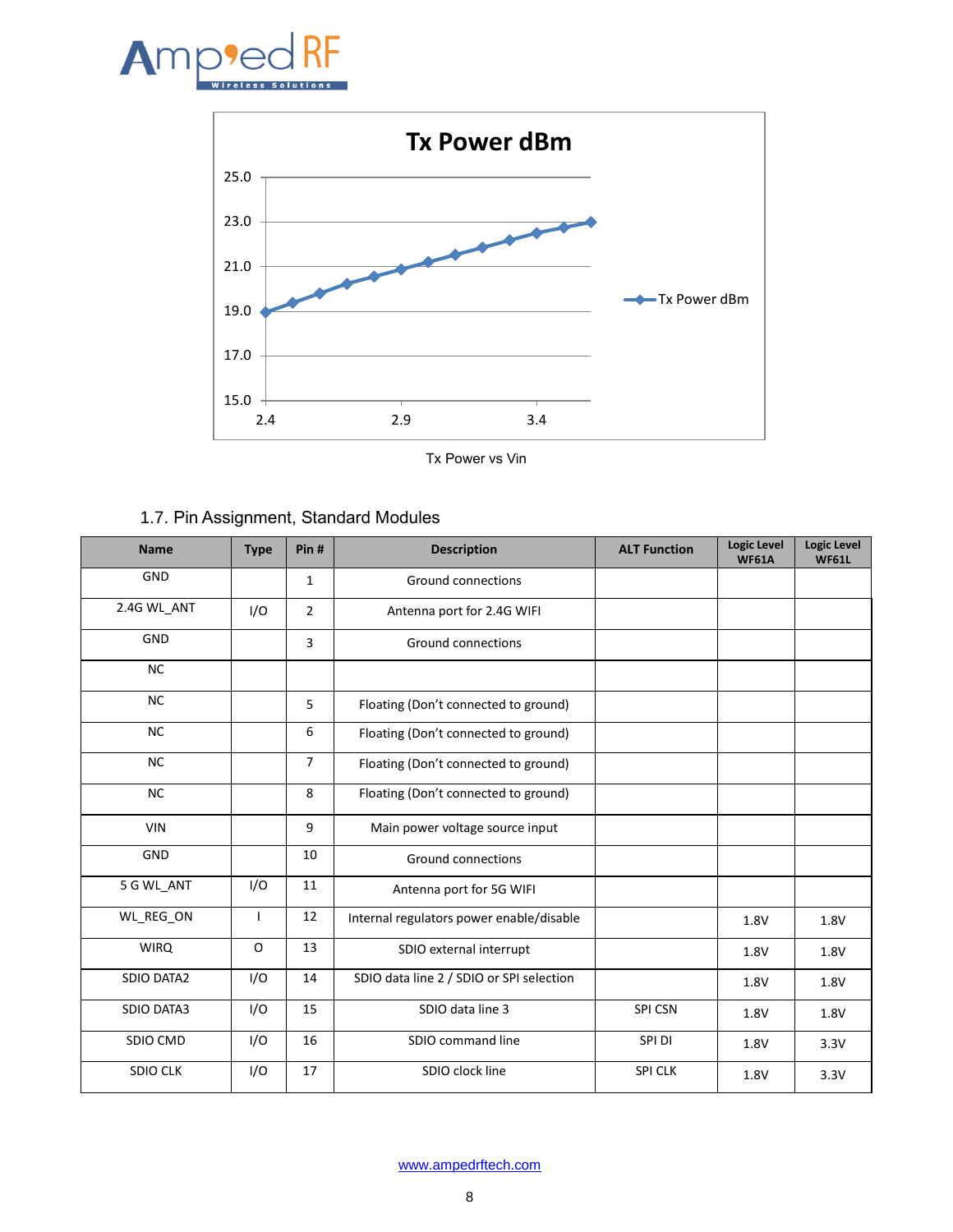



Tx Power vs Vin

<span id="page-7-0"></span>

| 1.7. Pin Assignment, Standard Modules |
|---------------------------------------|
|---------------------------------------|

| <b>Name</b>       | <b>Type</b> | Pin#           | <b>Description</b>                       | <b>ALT Function</b> | <b>Logic Level</b><br><b>WF61A</b> | <b>Logic Level</b><br><b>WF61L</b> |
|-------------------|-------------|----------------|------------------------------------------|---------------------|------------------------------------|------------------------------------|
| GND               |             | 1              | Ground connections                       |                     |                                    |                                    |
| 2.4G WL_ANT       | I/O         | $\overline{2}$ | Antenna port for 2.4G WIFI               |                     |                                    |                                    |
| <b>GND</b>        |             | 3              | <b>Ground connections</b>                |                     |                                    |                                    |
| <b>NC</b>         |             |                |                                          |                     |                                    |                                    |
| <b>NC</b>         |             | 5              | Floating (Don't connected to ground)     |                     |                                    |                                    |
| <b>NC</b>         |             | 6              | Floating (Don't connected to ground)     |                     |                                    |                                    |
| <b>NC</b>         |             | $\overline{7}$ | Floating (Don't connected to ground)     |                     |                                    |                                    |
| <b>NC</b>         |             | 8              | Floating (Don't connected to ground)     |                     |                                    |                                    |
| <b>VIN</b>        |             | 9              | Main power voltage source input          |                     |                                    |                                    |
| GND               |             | 10             | Ground connections                       |                     |                                    |                                    |
| 5 G WL_ANT        | I/O         | 11             | Antenna port for 5G WIFI                 |                     |                                    |                                    |
| WL REG ON         |             | 12             | Internal regulators power enable/disable |                     | 1.8V                               | 1.8V                               |
| <b>WIRQ</b>       | O           | 13             | SDIO external interrupt                  |                     | 1.8V                               | 1.8V                               |
| <b>SDIO DATA2</b> | I/O         | 14             | SDIO data line 2 / SDIO or SPI selection |                     | 1.8V                               | 1.8V                               |
| <b>SDIO DATA3</b> | I/O         | 15             | SDIO data line 3                         | SPI CSN             | 1.8V                               | 1.8V                               |
| SDIO CMD          | I/O         | 16             | SDIO command line                        | SPI DI              | 1.8V                               | 3.3V                               |
| <b>SDIO CLK</b>   | I/O         | 17             | SDIO clock line                          | <b>SPI CLK</b>      | 1.8V                               | 3.3V                               |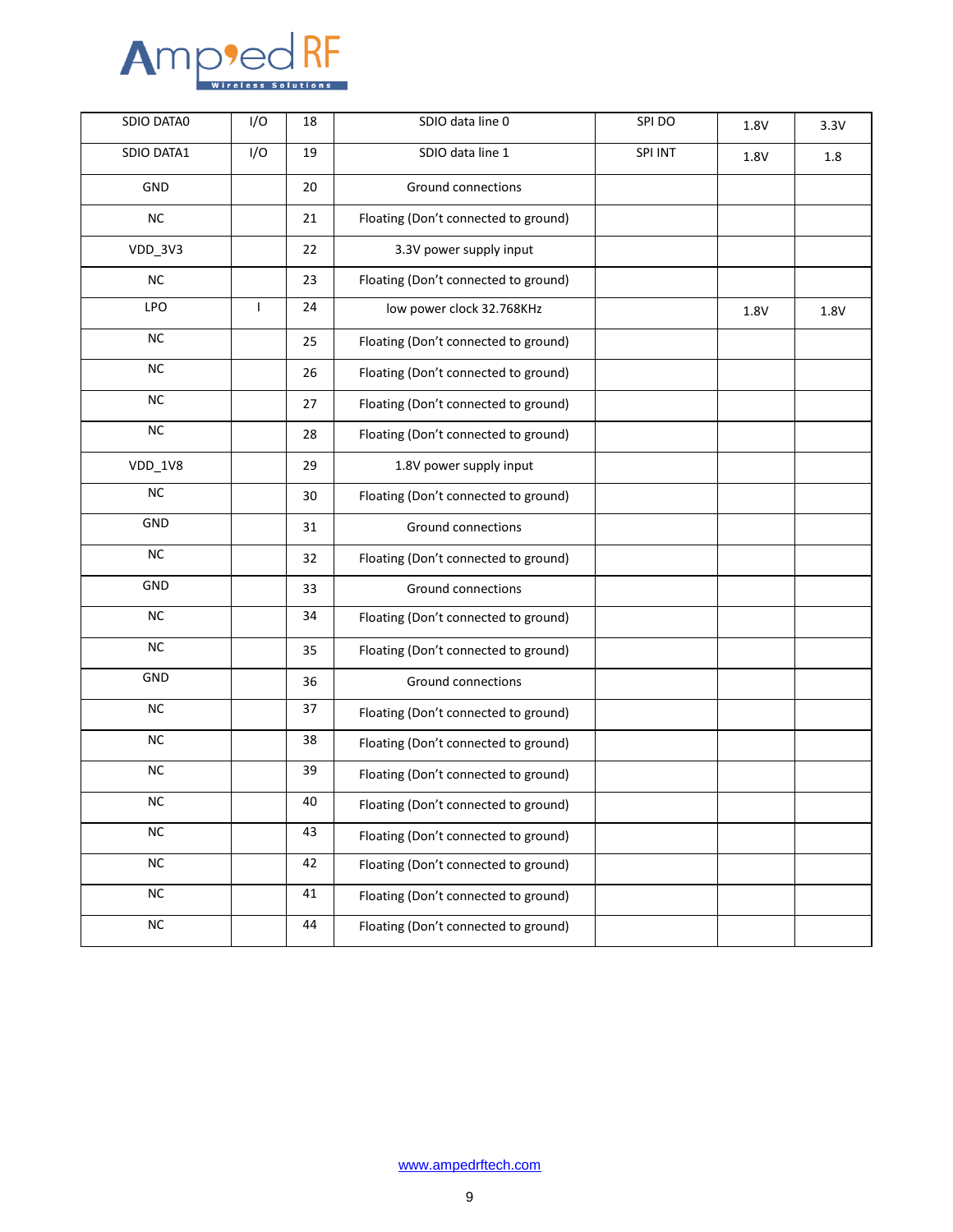

| SDIO DATA0 | I/O | 18 | SDIO data line 0                     | SPI DO  | 1.8V | 3.3V |
|------------|-----|----|--------------------------------------|---------|------|------|
| SDIO DATA1 | I/O | 19 | SDIO data line 1                     | SPI INT | 1.8V | 1.8  |
| GND        |     | 20 | Ground connections                   |         |      |      |
| NC         |     | 21 | Floating (Don't connected to ground) |         |      |      |
| VDD_3V3    |     | 22 | 3.3V power supply input              |         |      |      |
| NC         |     | 23 | Floating (Don't connected to ground) |         |      |      |
| <b>LPO</b> | T   | 24 | low power clock 32.768KHz            |         | 1.8V | 1.8V |
| NC         |     | 25 | Floating (Don't connected to ground) |         |      |      |
| <b>NC</b>  |     | 26 | Floating (Don't connected to ground) |         |      |      |
| NC         |     | 27 | Floating (Don't connected to ground) |         |      |      |
| NC         |     | 28 | Floating (Don't connected to ground) |         |      |      |
| $VDD_1V8$  |     | 29 | 1.8V power supply input              |         |      |      |
| NC         |     | 30 | Floating (Don't connected to ground) |         |      |      |
| <b>GND</b> |     | 31 | <b>Ground connections</b>            |         |      |      |
| NC         |     | 32 | Floating (Don't connected to ground) |         |      |      |
| GND        |     | 33 | Ground connections                   |         |      |      |
| NC         |     | 34 | Floating (Don't connected to ground) |         |      |      |
| NC         |     | 35 | Floating (Don't connected to ground) |         |      |      |
| GND        |     | 36 | Ground connections                   |         |      |      |
| $\sf NC$   |     | 37 | Floating (Don't connected to ground) |         |      |      |
| NC         |     | 38 | Floating (Don't connected to ground) |         |      |      |
| <b>NC</b>  |     | 39 | Floating (Don't connected to ground) |         |      |      |
| $NC$       |     | 40 | Floating (Don't connected to ground) |         |      |      |
| $\sf NC$   |     | 43 | Floating (Don't connected to ground) |         |      |      |
| $\sf NC$   |     | 42 | Floating (Don't connected to ground) |         |      |      |
| $\sf NC$   |     | 41 | Floating (Don't connected to ground) |         |      |      |
| $\sf NC$   |     | 44 | Floating (Don't connected to ground) |         |      |      |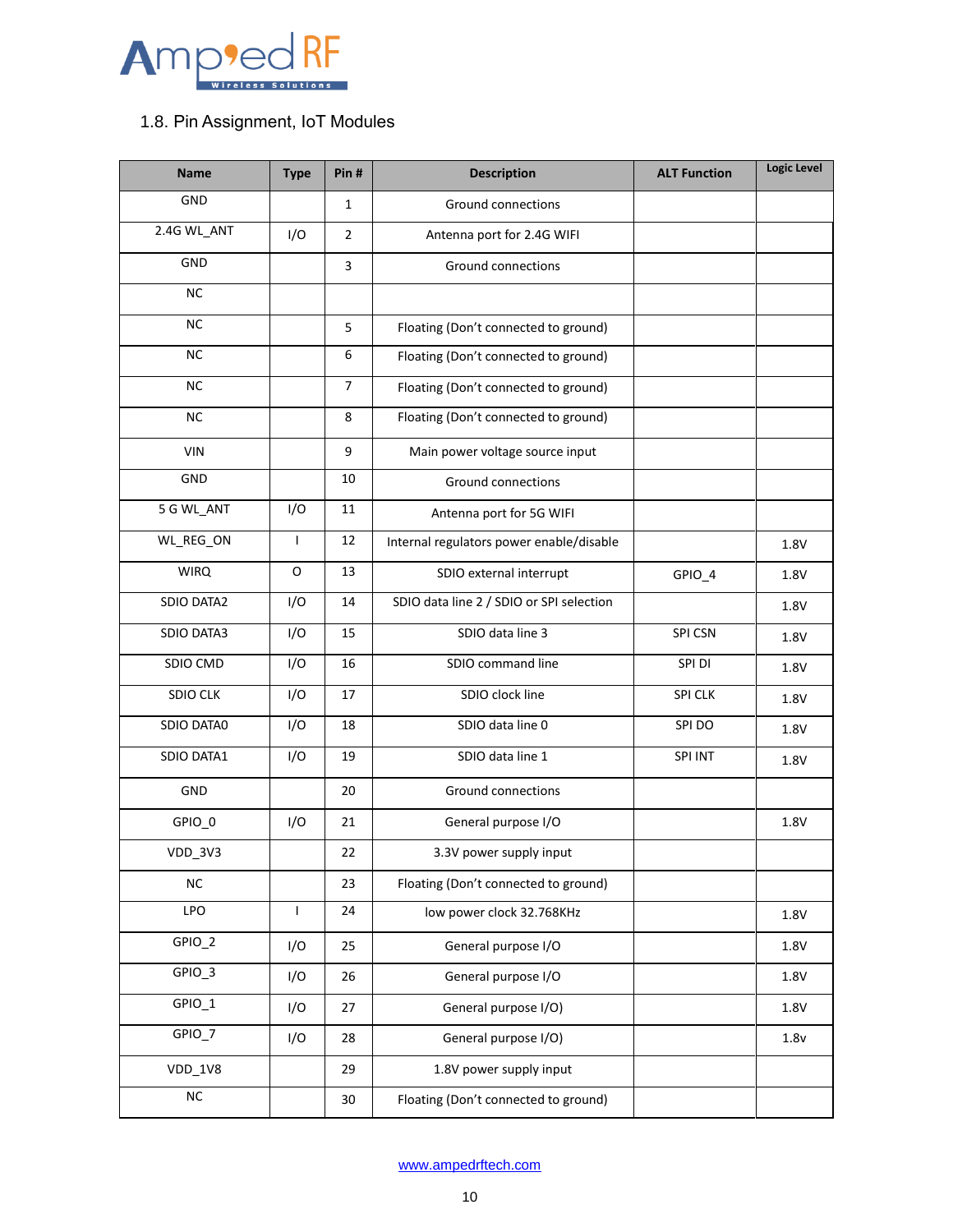

## <span id="page-9-0"></span>1.8. Pin Assignment, IoT Modules

| <b>Name</b>     | <b>Type</b>  | Pin#           | <b>Description</b>                       | <b>ALT Function</b> | <b>Logic Level</b> |
|-----------------|--------------|----------------|------------------------------------------|---------------------|--------------------|
| GND             |              | $\mathbf{1}$   | Ground connections                       |                     |                    |
| 2.4G WL_ANT     | I/O          | $\overline{2}$ | Antenna port for 2.4G WIFI               |                     |                    |
| GND             |              | $\overline{3}$ | <b>Ground connections</b>                |                     |                    |
| <b>NC</b>       |              |                |                                          |                     |                    |
| <b>NC</b>       |              | 5              | Floating (Don't connected to ground)     |                     |                    |
| <b>NC</b>       |              | 6              | Floating (Don't connected to ground)     |                     |                    |
| NC              |              | $\overline{7}$ | Floating (Don't connected to ground)     |                     |                    |
| <b>NC</b>       |              | 8              | Floating (Don't connected to ground)     |                     |                    |
| <b>VIN</b>      |              | 9              | Main power voltage source input          |                     |                    |
| GND             |              | 10             | <b>Ground connections</b>                |                     |                    |
| 5 G WL_ANT      | I/O          | 11             | Antenna port for 5G WIFI                 |                     |                    |
| WL_REG_ON       | $\mathbf{I}$ | 12             | Internal regulators power enable/disable |                     | 1.8V               |
| <b>WIRQ</b>     | O            | 13             | SDIO external interrupt                  | GPIO_4              | 1.8V               |
| SDIO DATA2      | I/O          | 14             | SDIO data line 2 / SDIO or SPI selection |                     | 1.8V               |
| SDIO DATA3      | I/O          | 15             | SDIO data line 3                         | SPI CSN             | 1.8V               |
| SDIO CMD        | I/O          | 16             | SDIO command line                        | SPI DI              | 1.8V               |
| <b>SDIO CLK</b> | I/O          | 17             | SDIO clock line                          | <b>SPI CLK</b>      | 1.8V               |
| SDIO DATA0      | I/O          | 18             | SDIO data line 0                         | SPI DO              | 1.8V               |
| SDIO DATA1      | I/O          | 19             | SDIO data line 1                         | SPI INT             | 1.8V               |
| GND             |              | 20             | Ground connections                       |                     |                    |
| GPIO_0          | I/O          | 21             | General purpose I/O                      |                     | 1.8V               |
| VDD_3V3         |              | 22             | 3.3V power supply input                  |                     |                    |
| NC              |              | 23             | Floating (Don't connected to ground)     |                     |                    |
| LPO             | $\mathbf{I}$ | 24             | low power clock 32.768KHz                |                     | 1.8V               |
| GPIO_2          | I/O          | 25             | General purpose I/O                      |                     | 1.8V               |
| GPIO_3          | I/O          | 26             | General purpose I/O                      |                     | 1.8V               |
| GPIO_1          | I/O          | 27             | General purpose I/O)                     |                     | 1.8V               |
| GPIO_7          | I/O          | 28             | General purpose I/O)                     |                     | 1.8v               |
| VDD_1V8         |              | 29             | 1.8V power supply input                  |                     |                    |
| $_{\rm NC}$     |              | 30             | Floating (Don't connected to ground)     |                     |                    |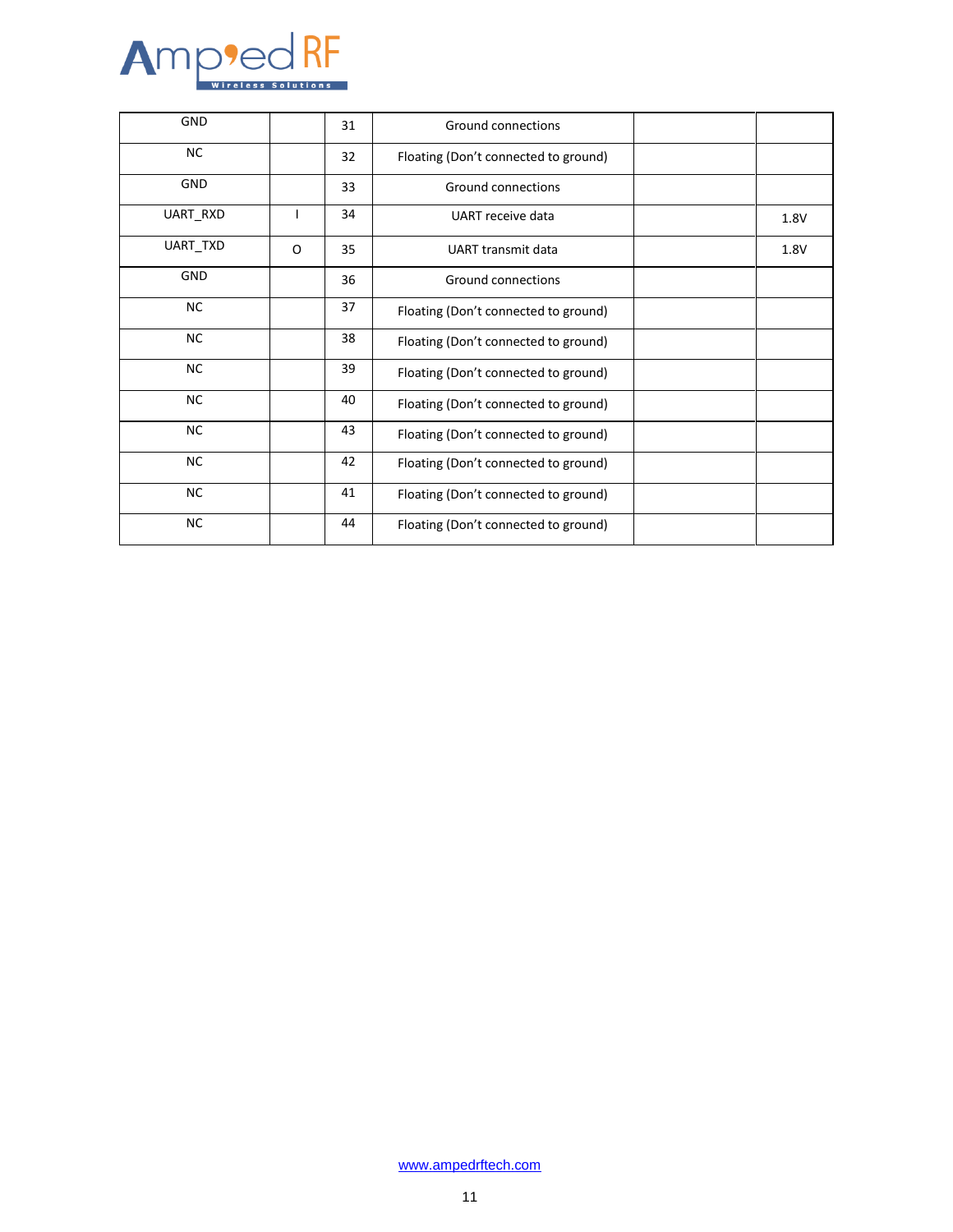

| <b>GND</b> |   | 31 | <b>Ground connections</b>            |      |
|------------|---|----|--------------------------------------|------|
| <b>NC</b>  |   | 32 | Floating (Don't connected to ground) |      |
| GND        |   | 33 | Ground connections                   |      |
| UART_RXD   | ı | 34 | UART receive data                    | 1.8V |
| UART_TXD   | O | 35 | UART transmit data                   | 1.8V |
| <b>GND</b> |   | 36 | Ground connections                   |      |
| <b>NC</b>  |   | 37 | Floating (Don't connected to ground) |      |
| <b>NC</b>  |   | 38 | Floating (Don't connected to ground) |      |
| <b>NC</b>  |   | 39 | Floating (Don't connected to ground) |      |
| <b>NC</b>  |   | 40 | Floating (Don't connected to ground) |      |
| <b>NC</b>  |   | 43 | Floating (Don't connected to ground) |      |
| <b>NC</b>  |   | 42 | Floating (Don't connected to ground) |      |
| <b>NC</b>  |   | 41 | Floating (Don't connected to ground) |      |
| <b>NC</b>  |   | 44 | Floating (Don't connected to ground) |      |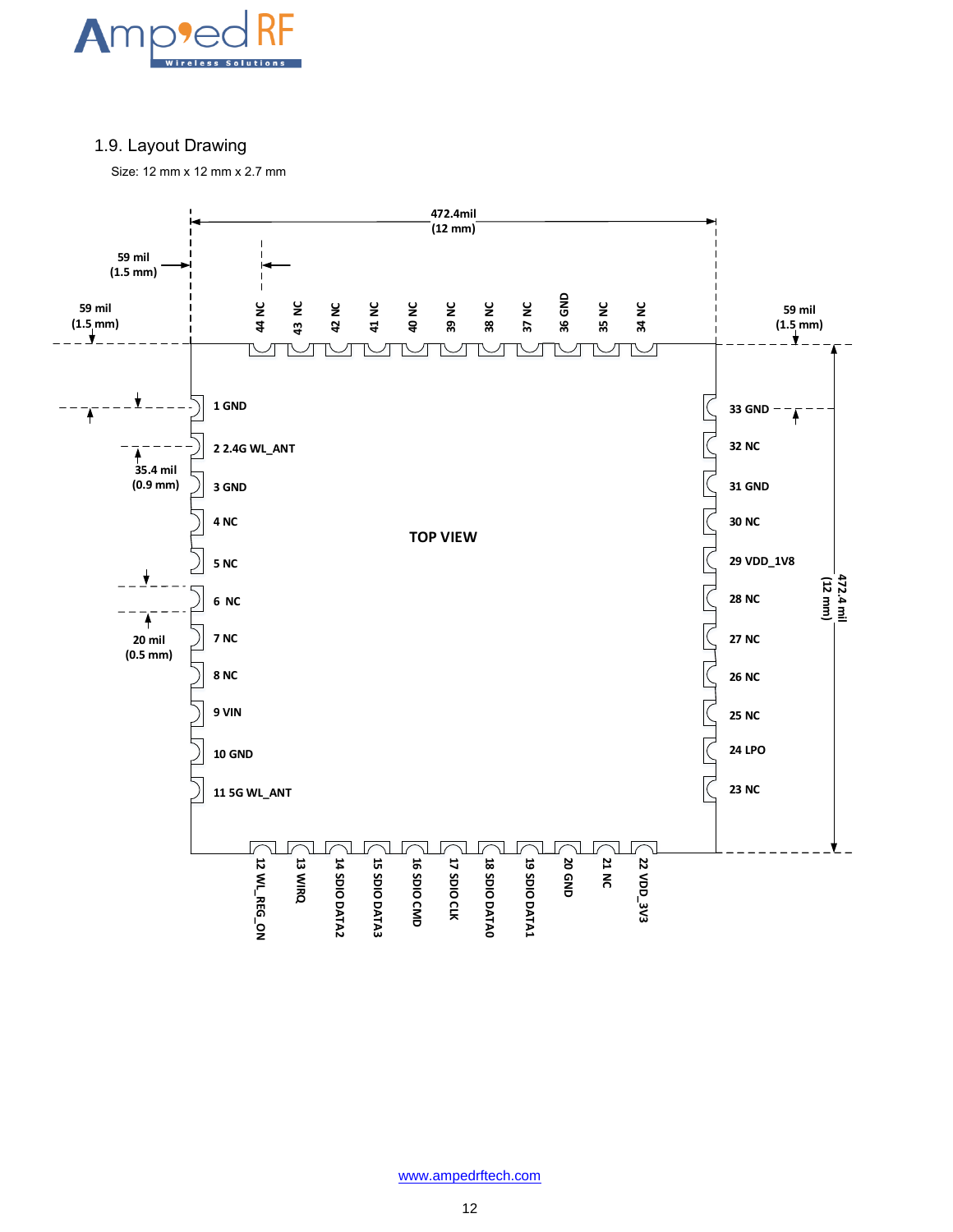

### <span id="page-11-0"></span>1.9. Layout Drawing

Size: 12 mm x 12 mm x 2.7 mm

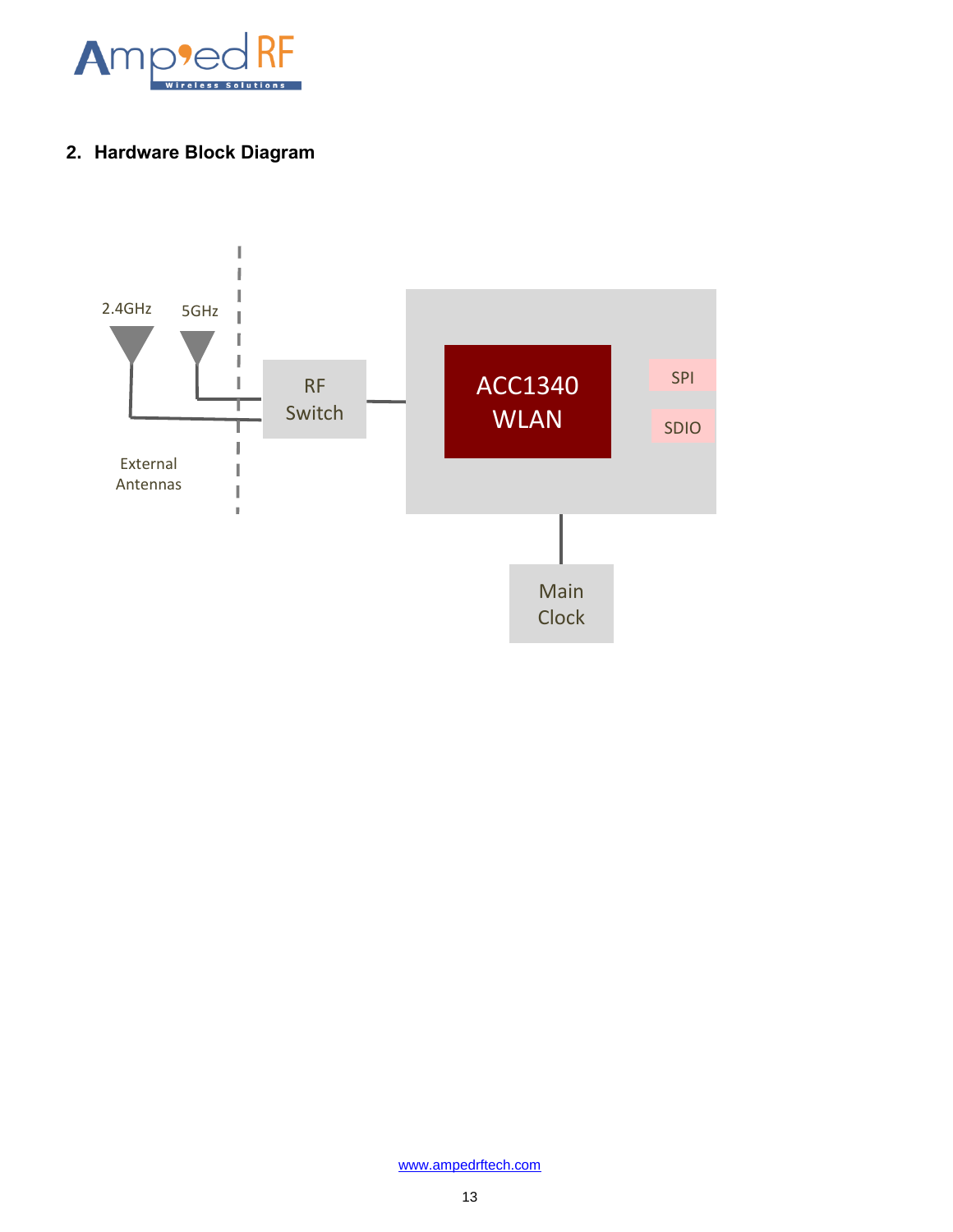

## <span id="page-12-0"></span>**2. Hardware Block Diagram**

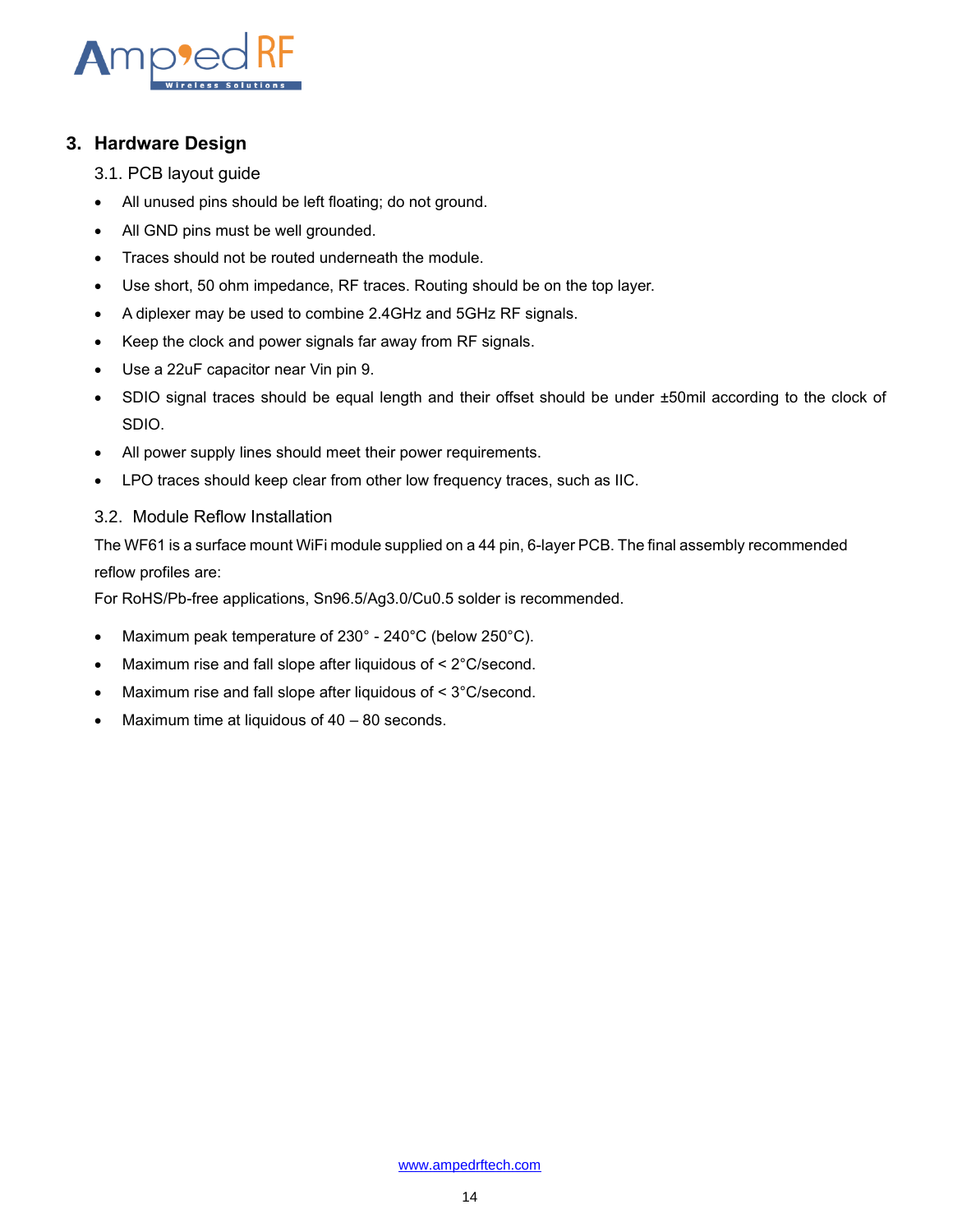

### <span id="page-13-0"></span>**3. Hardware Design**

- <span id="page-13-1"></span>3.1. PCB layout guide
- All unused pins should be left floating; do not ground.
- All GND pins must be well grounded.
- Traces should not be routed underneath the module.
- Use short, 50 ohm impedance, RF traces. Routing should be on the top layer.
- A diplexer may be used to combine 2.4GHz and 5GHz RF signals.
- Keep the clock and power signals far away from RF signals.
- Use a 22uF capacitor near Vin pin 9.
- SDIO signal traces should be equal length and their offset should be under ±50mil according to the clock of SDIO.
- All power supply lines should meet their power requirements.
- LPO traces should keep clear from other low frequency traces, such as IIC.

### <span id="page-13-2"></span>3.2. Module Reflow Installation

The WF61 is a surface mount WiFi module supplied on a 44 pin, 6-layer PCB. The final assembly recommended reflow profiles are:

For RoHS/Pb-free applications, Sn96.5/Ag3.0/Cu0.5 solder is recommended.

- Maximum peak temperature of 230° 240°C (below 250°C).
- Maximum rise and fall slope after liquidous of < 2°C/second.
- Maximum rise and fall slope after liquidous of < 3°C/second.
- Maximum time at liquidous of 40 80 seconds.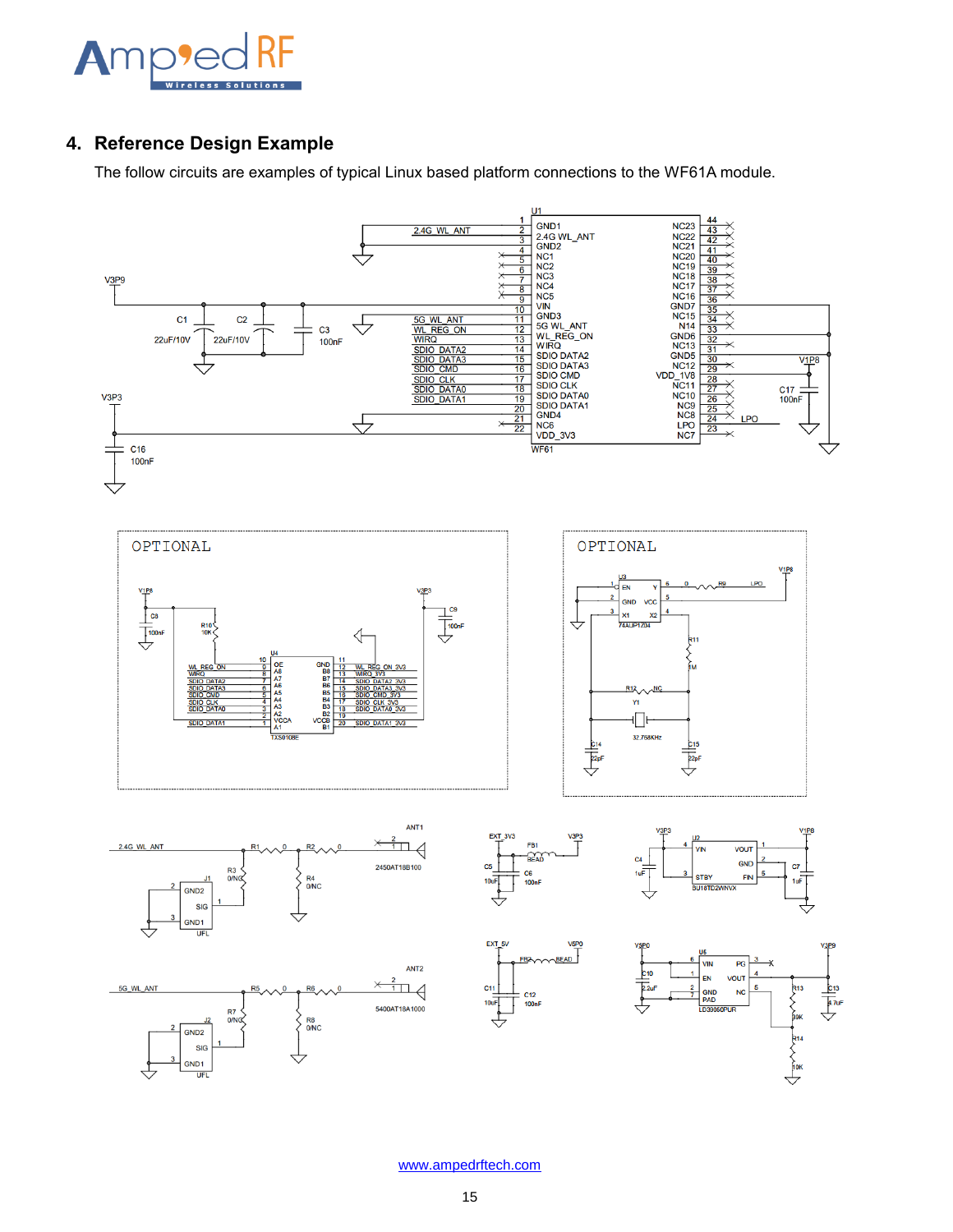

## <span id="page-14-0"></span>**4. Reference Design Example**

The follow circuits are examples of typical Linux based platform connections to the WF61A module.

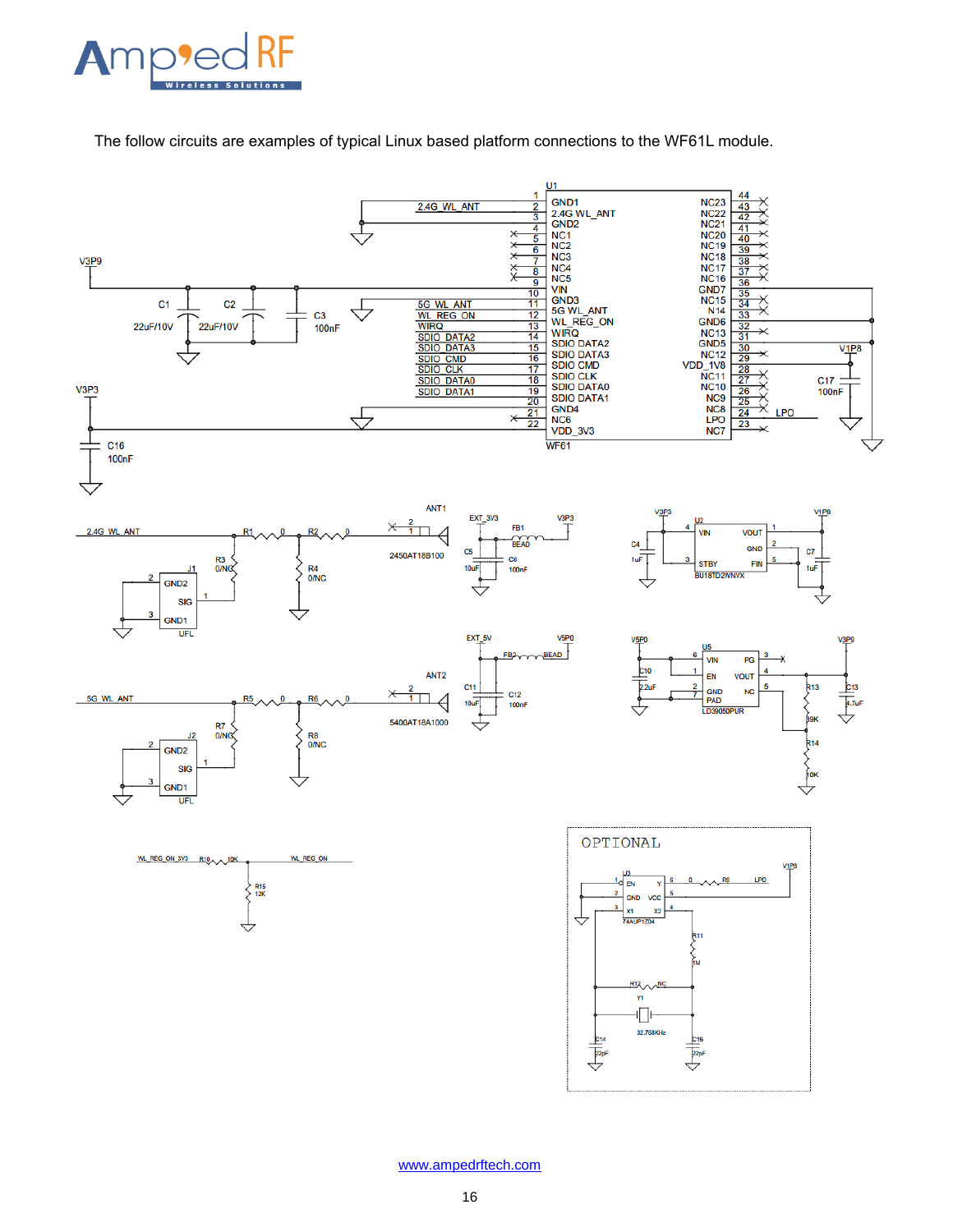

The follow circuits are examples of typical Linux based platform connections to the WF61L module.

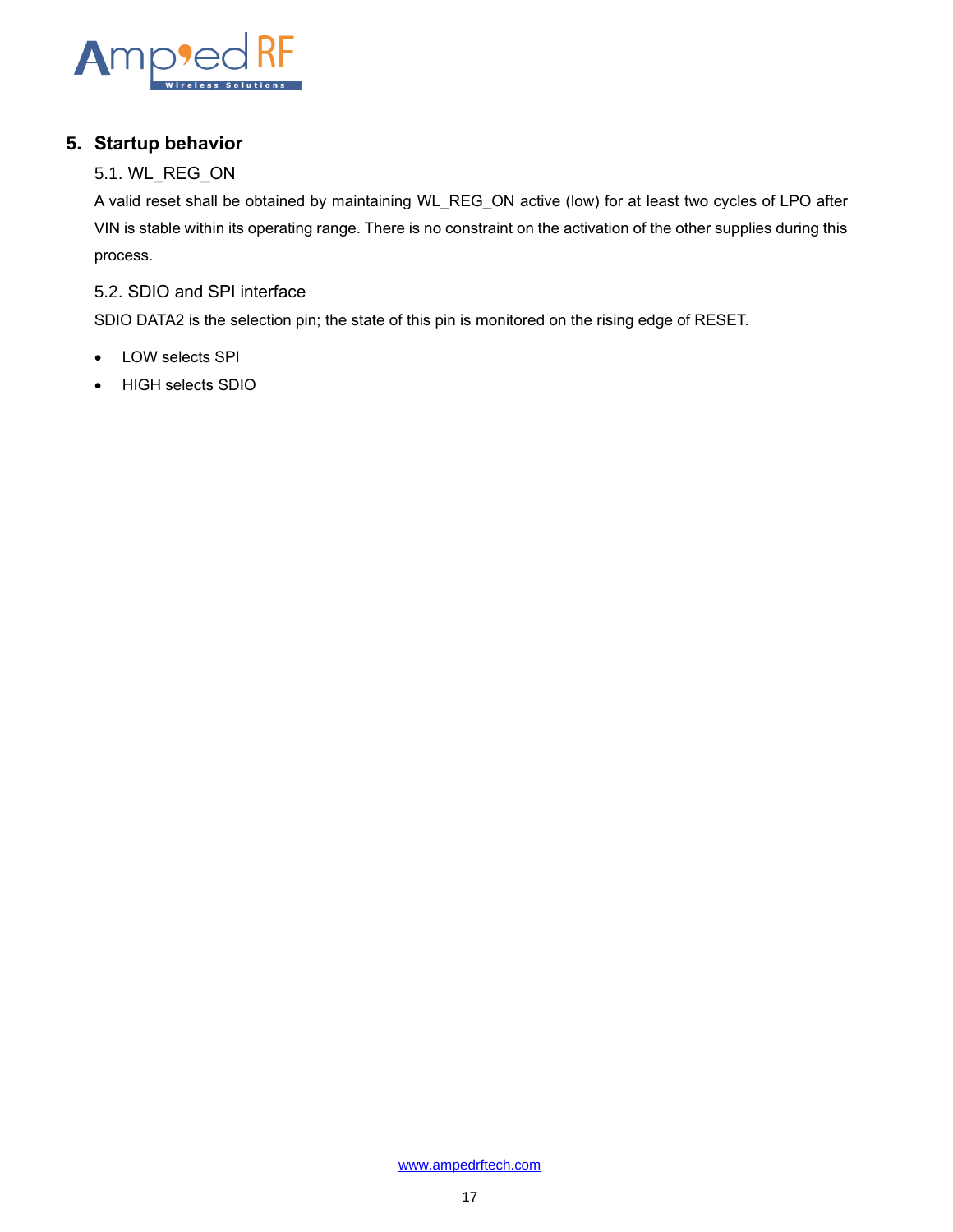

## <span id="page-16-0"></span>**5. Startup behavior**

## <span id="page-16-1"></span>5.1. WL\_REG\_ON

A valid reset shall be obtained by maintaining WL\_REG\_ON active (low) for at least two cycles of LPO after VIN is stable within its operating range. There is no constraint on the activation of the other supplies during this process.

### <span id="page-16-2"></span>5.2. SDIO and SPI interface

SDIO DATA2 is the selection pin; the state of this pin is monitored on the rising edge of RESET.

- LOW selects SPI
- HIGH selects SDIO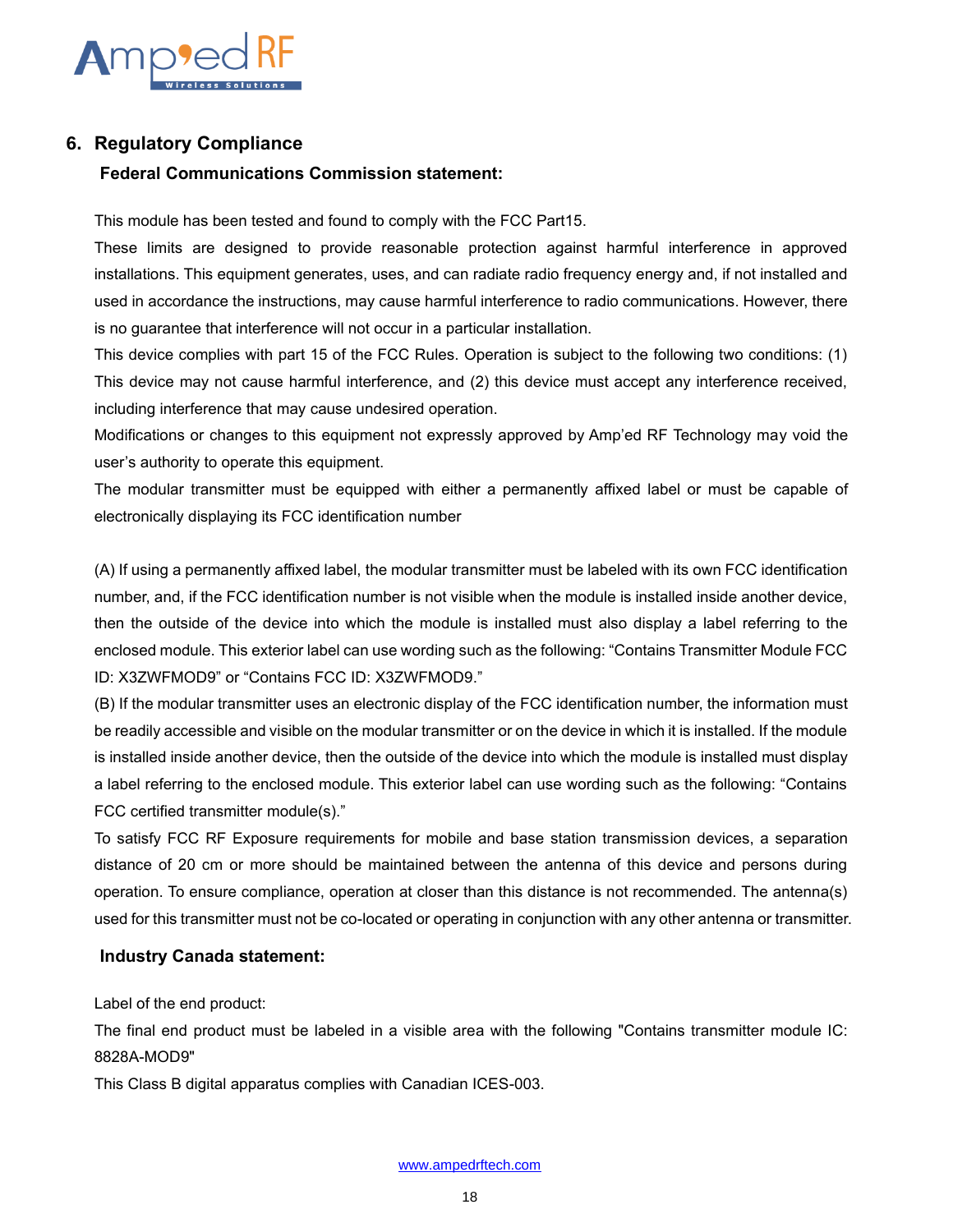

### <span id="page-17-0"></span>**6. Regulatory Compliance**

### **Federal Communications Commission statement:**

This module has been tested and found to comply with the FCC Part15.

These limits are designed to provide reasonable protection against harmful interference in approved installations. This equipment generates, uses, and can radiate radio frequency energy and, if not installed and used in accordance the instructions, may cause harmful interference to radio communications. However, there is no guarantee that interference will not occur in a particular installation.

This device complies with part 15 of the FCC Rules. Operation is subject to the following two conditions: (1) This device may not cause harmful interference, and (2) this device must accept any interference received, including interference that may cause undesired operation.

Modifications or changes to this equipment not expressly approved by Amp'ed RF Technology may void the user's authority to operate this equipment.

The modular transmitter must be equipped with either a permanently affixed label or must be capable of electronically displaying its FCC identification number

(A) If using a permanently affixed label, the modular transmitter must be labeled with its own FCC identification number, and, if the FCC identification number is not visible when the module is installed inside another device, then the outside of the device into which the module is installed must also display a label referring to the enclosed module. This exterior label can use wording such as the following: "Contains Transmitter Module FCC ID: X3ZWFMOD9" or "Contains FCC ID: X3ZWFMOD9."

(B) If the modular transmitter uses an electronic display of the FCC identification number, the information must be readily accessible and visible on the modular transmitter or on the device in which it is installed. If the module is installed inside another device, then the outside of the device into which the module is installed must display a label referring to the enclosed module. This exterior label can use wording such as the following: "Contains FCC certified transmitter module(s)."

To satisfy FCC RF Exposure requirements for mobile and base station transmission devices, a separation distance of 20 cm or more should be maintained between the antenna of this device and persons during operation. To ensure compliance, operation at closer than this distance is not recommended. The antenna(s) used for this transmitter must not be co-located or operating in conjunction with any other antenna or transmitter.

#### **Industry Canada statement:**

Label of the end product:

The final end product must be labeled in a visible area with the following "Contains transmitter module IC: 8828A-MOD9"

This Class B digital apparatus complies with Canadian ICES-003.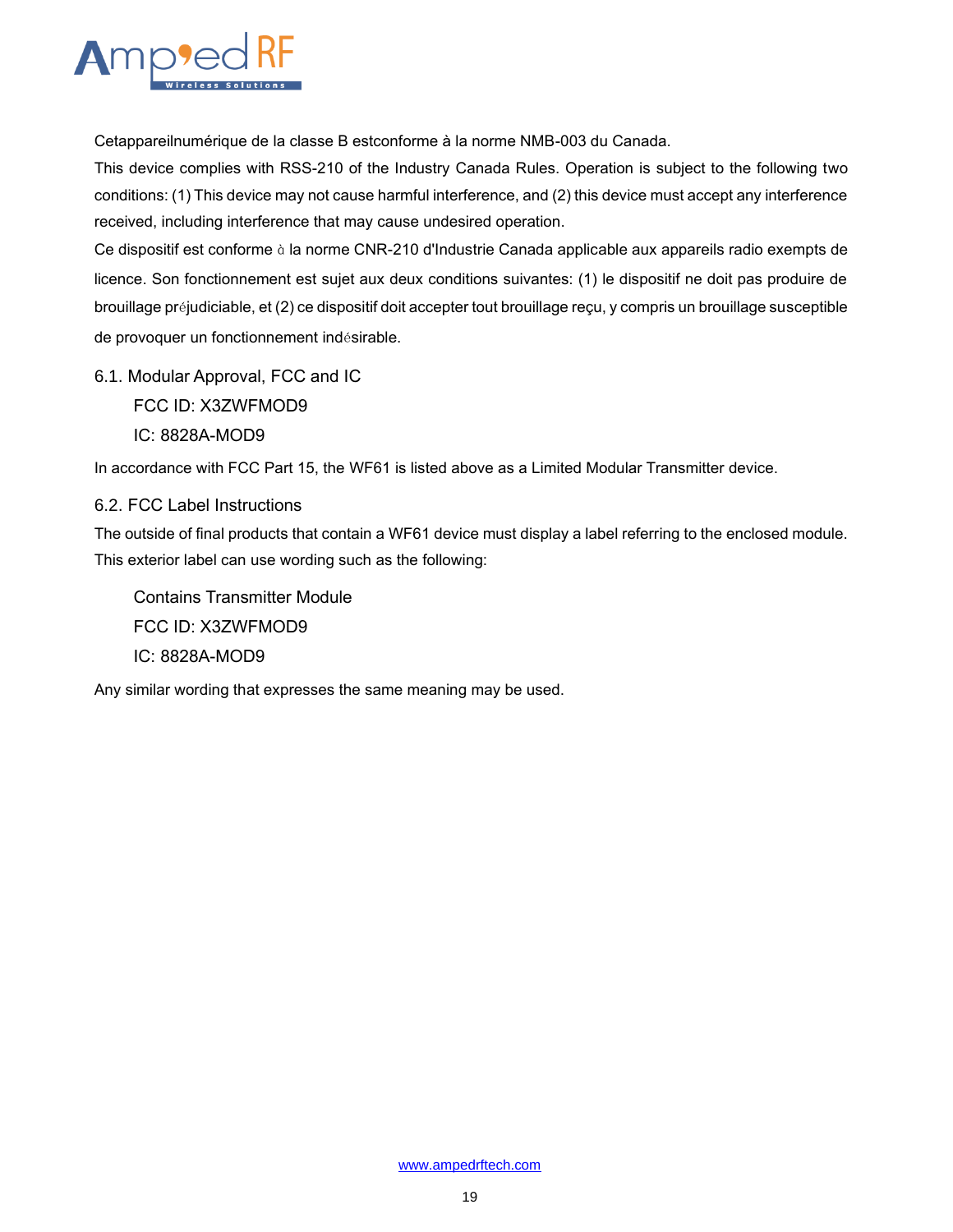

Cetappareilnumérique de la classe B estconforme à la norme NMB-003 du Canada.

This device complies with RSS-210 of the Industry Canada Rules. Operation is subject to the following two conditions: (1) This device may not cause harmful interference, and (2) this device must accept any interference received, including interference that may cause undesired operation.

Ce dispositif est conforme à la norme CNR-210 d'Industrie Canada applicable aux appareils radio exempts de licence. Son fonctionnement est sujet aux deux conditions suivantes: (1) le dispositif ne doit pas produire de brouillage préjudiciable, et (2) ce dispositif doit accepter tout brouillage reçu, y compris un brouillage susceptible de provoquer un fonctionnement indésirable.

<span id="page-18-0"></span>6.1. Modular Approval, FCC and IC FCC ID: X3ZWFMOD9 IC: 8828A-MOD9

In accordance with FCC Part 15, the WF61 is listed above as a Limited Modular Transmitter device.

#### <span id="page-18-1"></span>6.2. FCC Label Instructions

The outside of final products that contain a WF61 device must display a label referring to the enclosed module. This exterior label can use wording such as the following:

Contains Transmitter Module FCC ID: X3ZWFMOD9 IC: 8828A-MOD9

Any similar wording that expresses the same meaning may be used.